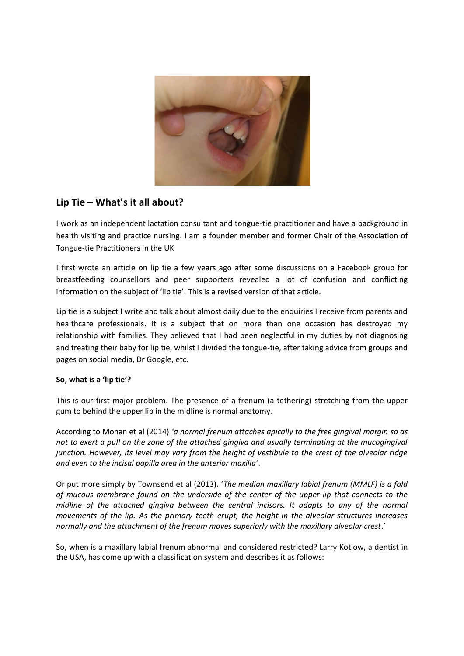

# **Lip Tie – What's it all about?**

I work as an independent lactation consultant and tongue-tie practitioner and have a background in health visiting and practice nursing. I am a founder member and former Chair of the Association of Tongue-tie Practitioners in the UK

I first wrote an article on lip tie a few years ago after some discussions on a Facebook group for breastfeeding counsellors and peer supporters revealed a lot of confusion and conflicting information on the subject of 'lip tie'. This is a revised version of that article.

Lip tie is a subject I write and talk about almost daily due to the enquiries I receive from parents and healthcare professionals. It is a subject that on more than one occasion has destroyed my relationship with families. They believed that I had been neglectful in my duties by not diagnosing and treating their baby for lip tie, whilst I divided the tongue-tie, after taking advice from groups and pages on social media, Dr Google, etc.

# **So, what is a 'lip tie'?**

This is our first major problem. The presence of a frenum (a tethering) stretching from the upper gum to behind the upper lip in the midline is normal anatomy.

According to Mohan et al (2014) *'a normal frenum attaches apically to the free gingival margin so as not to exert a pull on the zone of the attached gingiva and usually terminating at the mucogingival junction. However, its level may vary from the height of vestibule to the crest of the alveolar ridge and even to the incisal papilla area in the anterior maxilla'*.

Or put more simply by Townsend et al (2013). '*The median maxillary labial frenum (MMLF) is a fold of mucous membrane found on the underside of the center of the upper lip that connects to the midline of the attached gingiva between the central incisors. It adapts to any of the normal movements of the lip. As the primary teeth erupt, the height in the alveolar structures increases normally and the attachment of the frenum moves superiorly with the maxillary alveolar crest*.'

So, when is a maxillary labial frenum abnormal and considered restricted? Larry Kotlow, a dentist in the USA, has come up with a classification system and describes it as follows: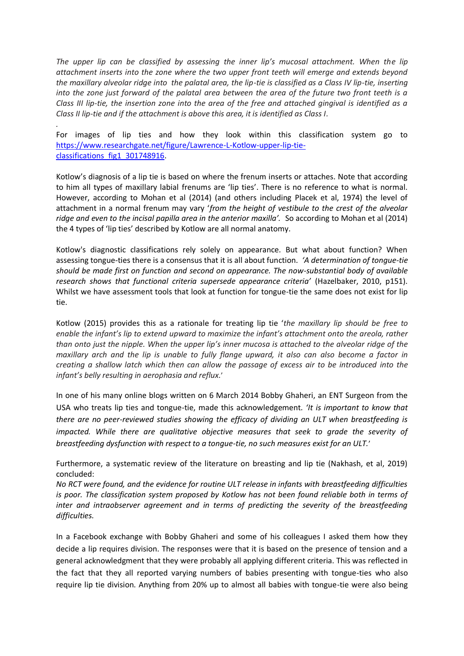*The upper lip can be classified by assessing the inner lip's mucosal attachment. When the lip attachment inserts into the zone where the two upper front teeth will emerge and extends beyond the maxillary alveolar ridge into the palatal area, the lip-tie is classified as a Class IV lip-tie, inserting into the zone just forward of the palatal area between the area of the future two front teeth is a Class III lip-tie, the insertion zone into the area of the free and attached gingival is identified as a Class II lip-tie and if the attachment is above this area, it is identified as Class I.*

For images of lip ties and how they look within this classification system go to [https://www.researchgate.net/figure/Lawrence-L-Kotlow-upper-lip-tie](https://www.researchgate.net/figure/Lawrence-L-Kotlow-upper-lip-tie-classifications_fig1_301748916)classifications fig1 301748916.

*.*

Kotlow's diagnosis of a lip tie is based on where the frenum inserts or attaches. Note that according to him all types of maxillary labial frenums are 'lip ties'. There is no reference to what is normal. However, according to Mohan et al (2014) (and others including Placek et al, 1974) the level of attachment in a normal frenum may vary '*from the height of vestibule to the crest of the alveolar ridge and even to the incisal papilla area in the anterior maxilla'.* So according to Mohan et al (2014) the 4 types of 'lip ties' described by Kotlow are all normal anatomy.

Kotlow's diagnostic classifications rely solely on appearance. But what about function? When assessing tongue-ties there is a consensus that it is all about function. *'A determination of tongue-tie should be made first on function and second on appearance. The now-substantial body of available research shows that functional criteria supersede appearance criteria'* (Hazelbaker, 2010, p151). Whilst we have assessment tools that look at function for tongue-tie the same does not exist for lip tie.

Kotlow (2015) provides this as a rationale for treating lip tie '*the maxillary lip should be free to enable the infant's lip to extend upward to maximize the infant's attachment onto the areola, rather than onto just the nipple. When the upper lip's inner mucosa is attached to the alveolar ridge of the maxillary arch and the lip is unable to fully flange upward, it also can also become a factor in creating a shallow latch which then can allow the passage of excess air to be introduced into the infant's belly resulting in aerophasia and reflux.*'

In one of his many online blogs written on 6 March 2014 Bobby Ghaheri, an ENT Surgeon from the USA who treats lip ties and tongue-tie, made this acknowledgement. *'It is important to know that there are no peer-reviewed studies showing the efficacy of dividing an ULT when breastfeeding is impacted. While there are qualitative objective measures that seek to grade the severity of breastfeeding dysfunction with respect to a tongue-tie, no such measures exist for an ULT.*'

Furthermore, a systematic review of the literature on breasting and lip tie (Nakhash, et al, 2019) concluded:

*No RCT were found, and the evidence for routine ULT release in infants with breastfeeding difficulties is poor. The classification system proposed by Kotlow has not been found reliable both in terms of inter and intraobserver agreement and in terms of predicting the severity of the breastfeeding difficulties.*

In a Facebook exchange with Bobby Ghaheri and some of his colleagues I asked them how they decide a lip requires division. The responses were that it is based on the presence of tension and a general acknowledgment that they were probably all applying different criteria. This was reflected in the fact that they all reported varying numbers of babies presenting with tongue-ties who also require lip tie division. Anything from 20% up to almost all babies with tongue-tie were also being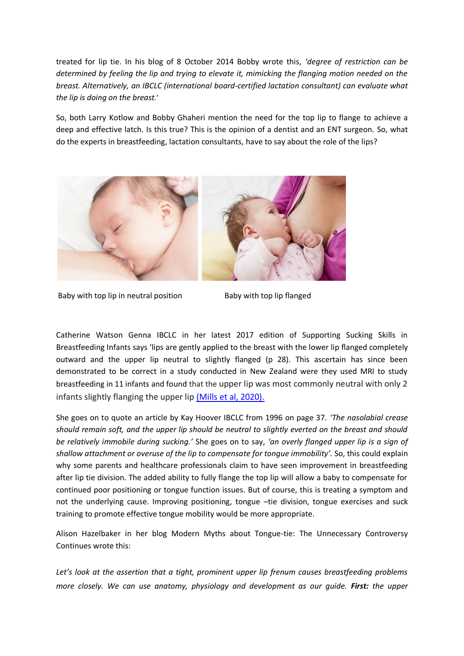treated for lip tie. In his blog of 8 October 2014 Bobby wrote this, *'degree of restriction can be determined by feeling the lip and trying to elevate it, mimicking the flanging motion needed on the breast. Alternatively, an IBCLC (international board-certified lactation consultant) can evaluate what the lip is doing on the breast.*'

So, both Larry Kotlow and Bobby Ghaheri mention the need for the top lip to flange to achieve a deep and effective latch. Is this true? This is the opinion of a dentist and an ENT surgeon. So, what do the experts in breastfeeding, lactation consultants, have to say about the role of the lips?



Baby with top lip in neutral position Baby with top lip flanged

Catherine Watson Genna IBCLC in her latest 2017 edition of Supporting Sucking Skills in Breastfeeding Infants says 'lips are gently applied to the breast with the lower lip flanged completely outward and the upper lip neutral to slightly flanged (p 28). This ascertain has since been demonstrated to be correct in a study conducted in New Zealand were they used MRI to study breastfeeding in 11 infants and found that the upper lip was most commonly neutral with only 2 infants slightly flanging the upper lip [\(Mills et al, 2020\).](https://onlinelibrary.wiley.com/doi/full/10.1002/lio2.397)

She goes on to quote an article by Kay Hoover IBCLC from 1996 on page 37. *'The nasolabial crease should remain soft, and the upper lip should be neutral to slightly everted on the breast and should be relatively immobile during sucking.'* She goes on to say, *'an overly flanged upper lip is a sign of shallow attachment or overuse of the lip to compensate for tongue immobility'.* So, this could explain why some parents and healthcare professionals claim to have seen improvement in breastfeeding after lip tie division. The added ability to fully flange the top lip will allow a baby to compensate for continued poor positioning or tongue function issues. But of course, this is treating a symptom and not the underlying cause. Improving positioning, tongue –tie division, tongue exercises and suck training to promote effective tongue mobility would be more appropriate.

Alison Hazelbaker in her blog Modern Myths about Tongue-tie: The Unnecessary Controversy Continues wrote this:

*Let's look at the assertion that a tight, prominent upper lip frenum causes breastfeeding problems more closely. We can use anatomy, physiology and development as our guide. First: the upper*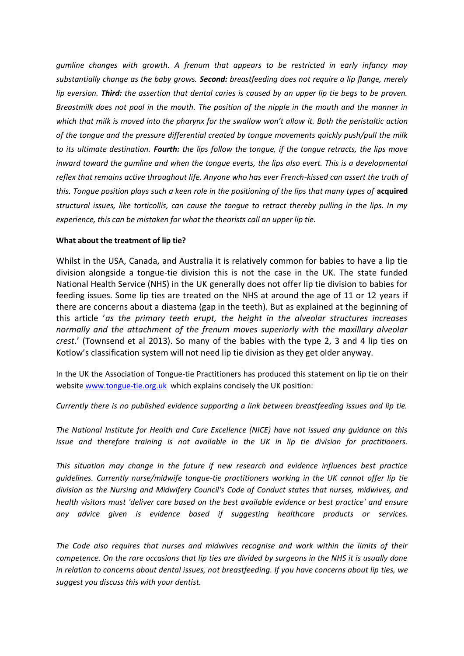*gumline changes with growth. A frenum that appears to be restricted in early infancy may substantially change as the baby grows. Second: breastfeeding does not require a lip flange, merely lip eversion. Third: the assertion that dental caries is caused by an upper lip tie begs to be proven. Breastmilk does not pool in the mouth. The position of the nipple in the mouth and the manner in which that milk is moved into the pharynx for the swallow won't allow it. Both the peristaltic action of the tongue and the pressure differential created by tongue movements quickly push/pull the milk to its ultimate destination. Fourth: the lips follow the tongue, if the tongue retracts, the lips move inward toward the gumline and when the tongue everts, the lips also evert. This is a developmental reflex that remains active throughout life. Anyone who has ever French-kissed can assert the truth of*  this. Tongue position plays such a keen role in the positioning of the lips that many types of **acquired** *structural issues, like torticollis, can cause the tongue to retract thereby pulling in the lips. In my experience, this can be mistaken for what the theorists call an upper lip tie.*

## **What about the treatment of lip tie?**

Whilst in the USA, Canada, and Australia it is relatively common for babies to have a lip tie division alongside a tongue-tie division this is not the case in the UK. The state funded National Health Service (NHS) in the UK generally does not offer lip tie division to babies for feeding issues. Some lip ties are treated on the NHS at around the age of 11 or 12 years if there are concerns about a diastema (gap in the teeth). But as explained at the beginning of this article '*as the primary teeth erupt, the height in the alveolar structures increases normally and the attachment of the frenum moves superiorly with the maxillary alveolar crest*.' (Townsend et al 2013). So many of the babies with the type 2, 3 and 4 lip ties on Kotlow's classification system will not need lip tie division as they get older anyway.

In the UK the Association of Tongue-tie Practitioners has produced this statement on lip tie on their websit[e www.tongue-tie.org.uk](http://www.tongue-tie.org.uk/) which explains concisely the UK position:

*Currently there is no published evidence supporting a link between breastfeeding issues and lip tie.* 

*The National Institute for Health and Care Excellence (NICE) have not issued any guidance on this issue and therefore training is not available in the UK in lip tie division for practitioners.* 

*This situation may change in the future if new research and evidence influences best practice guidelines. Currently nurse/midwife tongue-tie practitioners working in the UK cannot offer lip tie division as the Nursing and Midwifery Council's Code of Conduct states that nurses, midwives, and health visitors must 'deliver care based on the best available evidence or best practice' and ensure any advice given is evidence based if suggesting healthcare products or services.* 

*The Code also requires that nurses and midwives recognise and work within the limits of their competence. On the rare occasions that lip ties are divided by surgeons in the NHS it is usually done in relation to concerns about dental issues, not breastfeeding. If you have concerns about lip ties, we suggest you discuss this with your dentist.*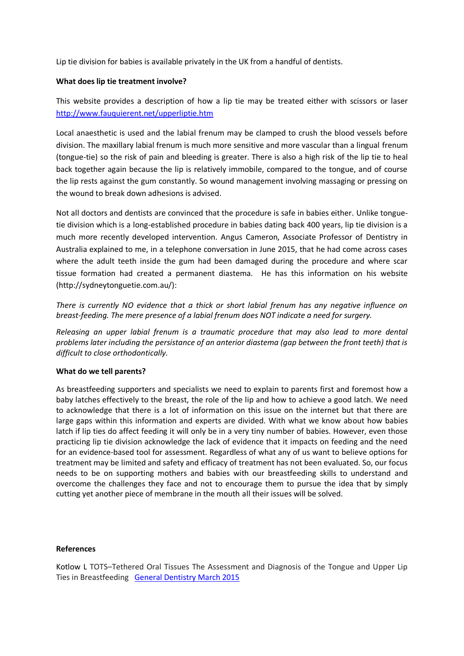Lip tie division for babies is available privately in the UK from a handful of dentists.

## **What does lip tie treatment involve?**

This website provides a description of how a lip tie may be treated either with scissors or laser <http://www.fauquierent.net/upperliptie.htm>

Local anaesthetic is used and the labial frenum may be clamped to crush the blood vessels before division. The maxillary labial frenum is much more sensitive and more vascular than a lingual frenum (tongue-tie) so the risk of pain and bleeding is greater. There is also a high risk of the lip tie to heal back together again because the lip is relatively immobile, compared to the tongue, and of course the lip rests against the gum constantly. So wound management involving massaging or pressing on the wound to break down adhesions is advised.

Not all doctors and dentists are convinced that the procedure is safe in babies either. Unlike tonguetie division which is a long-established procedure in babies dating back 400 years, lip tie division is a much more recently developed intervention. Angus Cameron, Associate Professor of Dentistry in Australia explained to me, in a telephone conversation in June 2015, that he had come across cases where the adult teeth inside the gum had been damaged during the procedure and where scar tissue formation had created a permanent diastema. He has this information on his website (http://sydneytonguetie.com.au/):

*There is currently NO evidence that a thick or short labial frenum has any negative influence on breast-feeding. The mere presence of a labial frenum does NOT indicate a need for surgery.*

*Releasing an upper labial frenum is a traumatic procedure that may also lead to more dental problems later including the persistance of an anterior diastema (gap between the front teeth) that is difficult to close orthodontically.*

# **What do we tell parents?**

As breastfeeding supporters and specialists we need to explain to parents first and foremost how a baby latches effectively to the breast, the role of the lip and how to achieve a good latch. We need to acknowledge that there is a lot of information on this issue on the internet but that there are large gaps within this information and experts are divided. With what we know about how babies latch if lip ties do affect feeding it will only be in a very tiny number of babies. However, even those practicing lip tie division acknowledge the lack of evidence that it impacts on feeding and the need for an evidence-based tool for assessment. Regardless of what any of us want to believe options for treatment may be limited and safety and efficacy of treatment has not been evaluated. So, our focus needs to be on supporting mothers and babies with our breastfeeding skills to understand and overcome the challenges they face and not to encourage them to pursue the idea that by simply cutting yet another piece of membrane in the mouth all their issues will be solved.

## **References**

Kotlow L TOTS–Tethered Oral Tissues The Assessment and Diagnosis of the Tongue and Upper Lip Ties in Breastfeeding [General Dentistry March 2015](https://www.oralhealthgroup.com/features/tots-tethered-oral-tissues-the-assessment-and-diagnosis-of-the-tongue-and-upper-lip-ties-in)